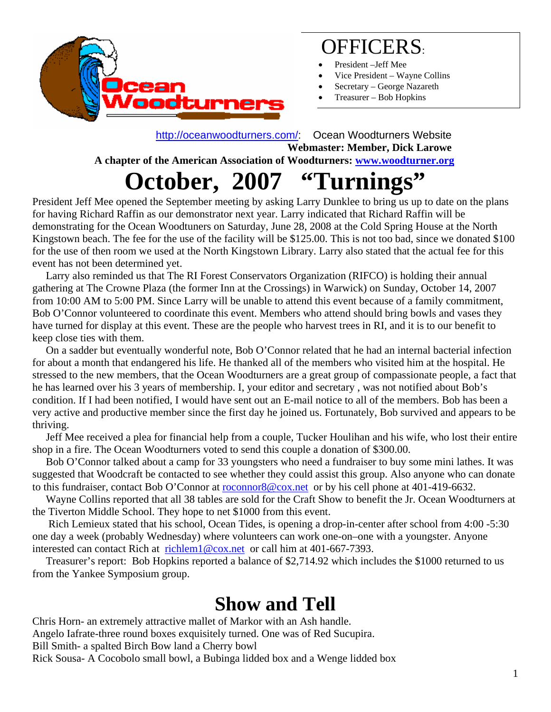

#### OFFICERS:

- President –Jeff Mee
- Vice President Wayne Collins
- Secretary George Nazareth
- Treasurer Bob Hopkins

 <http://oceanwoodturners.com/>: Ocean Woodturners Website **Webmaster: Member, Dick Larowe A chapter of the American Association of Woodturners: [www.woodturner.org](http://www.woodturner.org/)** 

## **October, 2007 "Turnings"**

President Jeff Mee opened the September meeting by asking Larry Dunklee to bring us up to date on the plans for having Richard Raffin as our demonstrator next year. Larry indicated that Richard Raffin will be demonstrating for the Ocean Woodtuners on Saturday, June 28, 2008 at the Cold Spring House at the North Kingstown beach. The fee for the use of the facility will be \$125.00. This is not too bad, since we donated \$100 for the use of then room we used at the North Kingstown Library. Larry also stated that the actual fee for this event has not been determined yet.

 Larry also reminded us that The RI Forest Conservators Organization (RIFCO) is holding their annual gathering at The Crowne Plaza (the former Inn at the Crossings) in Warwick) on Sunday, October 14, 2007 from 10:00 AM to 5:00 PM. Since Larry will be unable to attend this event because of a family commitment, Bob O'Connor volunteered to coordinate this event. Members who attend should bring bowls and vases they have turned for display at this event. These are the people who harvest trees in RI, and it is to our benefit to keep close ties with them.

 On a sadder but eventually wonderful note, Bob O'Connor related that he had an internal bacterial infection for about a month that endangered his life. He thanked all of the members who visited him at the hospital. He stressed to the new members, that the Ocean Woodturners are a great group of compassionate people, a fact that he has learned over his 3 years of membership. I, your editor and secretary , was not notified about Bob's condition. If I had been notified, I would have sent out an E-mail notice to all of the members. Bob has been a very active and productive member since the first day he joined us. Fortunately, Bob survived and appears to be thriving.

 Jeff Mee received a plea for financial help from a couple, Tucker Houlihan and his wife, who lost their entire shop in a fire. The Ocean Woodturners voted to send this couple a donation of \$300.00.

 Bob O'Connor talked about a camp for 33 youngsters who need a fundraiser to buy some mini lathes. It was suggested that Woodcraft be contacted to see whether they could assist this group. Also anyone who can donate to this fundraiser, contact Bob O'Connor at [roconnor8@cox.net](mailto:roconnor8@cox.net) or by his cell phone at 401-419-6632.

 Wayne Collins reported that all 38 tables are sold for the Craft Show to benefit the Jr. Ocean Woodturners at the Tiverton Middle School. They hope to net \$1000 from this event.

 Rich Lemieux stated that his school, Ocean Tides, is opening a drop-in-center after school from 4:00 -5:30 one day a week (probably Wednesday) where volunteers can work one-on–one with a youngster. Anyone interested can contact Rich at [richlem1@cox.net](mailto:richlem1@cox.net) or call him at 401-667-7393.

 Treasurer's report: Bob Hopkins reported a balance of \$2,714.92 which includes the \$1000 returned to us from the Yankee Symposium group.

### **Show and Tell**

Chris Horn- an extremely attractive mallet of Markor with an Ash handle. Angelo Iafrate-three round boxes exquisitely turned. One was of Red Sucupira. Bill Smith- a spalted Birch Bow land a Cherry bowl Rick Sousa- A Cocobolo small bowl, a Bubinga lidded box and a Wenge lidded box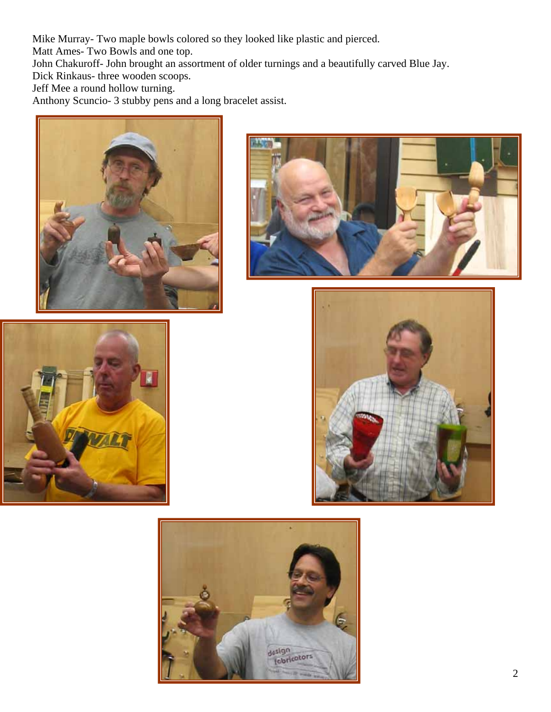Mike Murray- Two maple bowls colored so they looked like plastic and pierced.

Matt Ames- Two Bowls and one top.

John Chakuroff- John brought an assortment of older turnings and a beautifully carved Blue Jay.

Dick Rinkaus- three wooden scoops.

Jeff Mee a round hollow turning.

Anthony Scuncio- 3 stubby pens and a long bracelet assist.